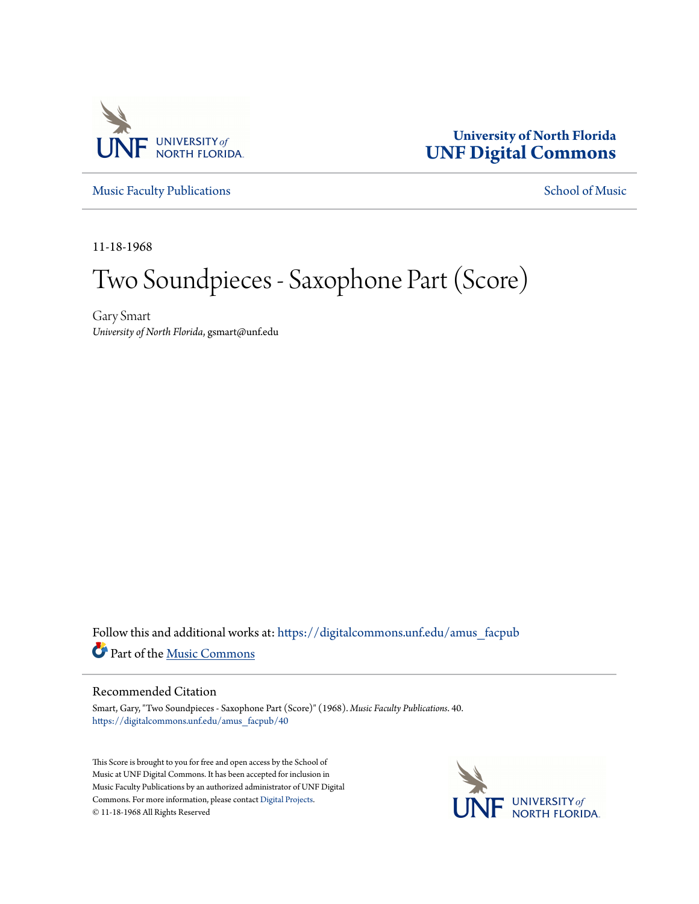

#### **University of North Florida [UNF Digital Commons](https://digitalcommons.unf.edu?utm_source=digitalcommons.unf.edu%2Famus_facpub%2F40&utm_medium=PDF&utm_campaign=PDFCoverPages)**

[Music Faculty Publications](https://digitalcommons.unf.edu/amus_facpub?utm_source=digitalcommons.unf.edu%2Famus_facpub%2F40&utm_medium=PDF&utm_campaign=PDFCoverPages) [School of Music](https://digitalcommons.unf.edu/amus?utm_source=digitalcommons.unf.edu%2Famus_facpub%2F40&utm_medium=PDF&utm_campaign=PDFCoverPages)

11-18-1968

### Two Soundpieces - Saxophone Part (Score)

Gary Smart *University of North Florida*, gsmart@unf.edu

Follow this and additional works at: [https://digitalcommons.unf.edu/amus\\_facpub](https://digitalcommons.unf.edu/amus_facpub?utm_source=digitalcommons.unf.edu%2Famus_facpub%2F40&utm_medium=PDF&utm_campaign=PDFCoverPages) Part of the [Music Commons](http://network.bepress.com/hgg/discipline/518?utm_source=digitalcommons.unf.edu%2Famus_facpub%2F40&utm_medium=PDF&utm_campaign=PDFCoverPages)

#### Recommended Citation

Smart, Gary, "Two Soundpieces - Saxophone Part (Score)" (1968). *Music Faculty Publications*. 40. [https://digitalcommons.unf.edu/amus\\_facpub/40](https://digitalcommons.unf.edu/amus_facpub/40?utm_source=digitalcommons.unf.edu%2Famus_facpub%2F40&utm_medium=PDF&utm_campaign=PDFCoverPages)

This Score is brought to you for free and open access by the School of Music at UNF Digital Commons. It has been accepted for inclusion in Music Faculty Publications by an authorized administrator of UNF Digital Commons. For more information, please contact [Digital Projects](mailto:lib-digital@unf.edu). © 11-18-1968 All Rights Reserved

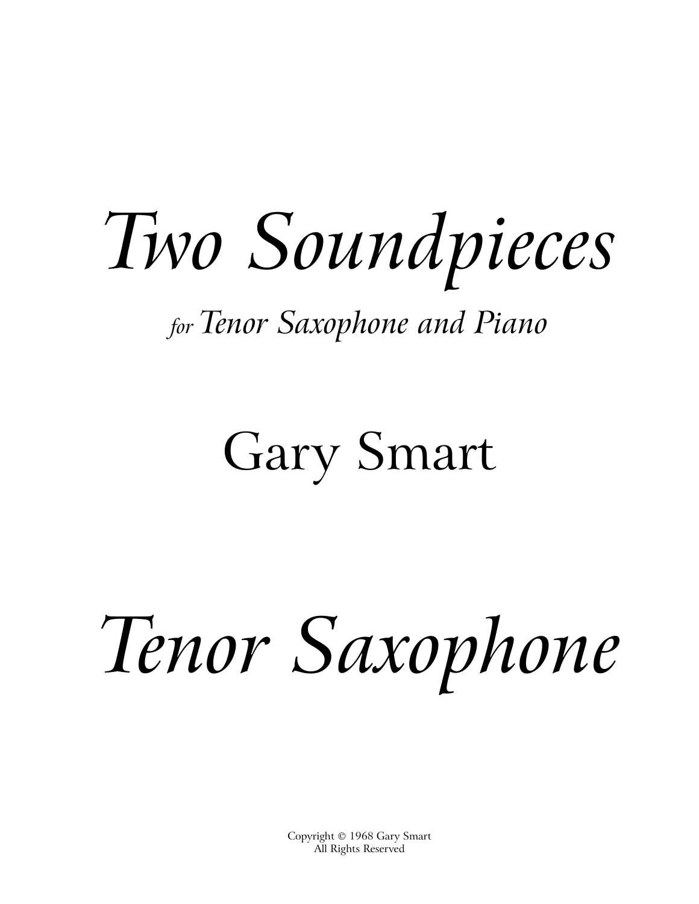# *Two Soundpieces*

*for Tenor Saxophone and Piano*

### Gary Smart

# *Tenor Saxophone*

Copyright © 1968 Gary Smart All Rights Reserved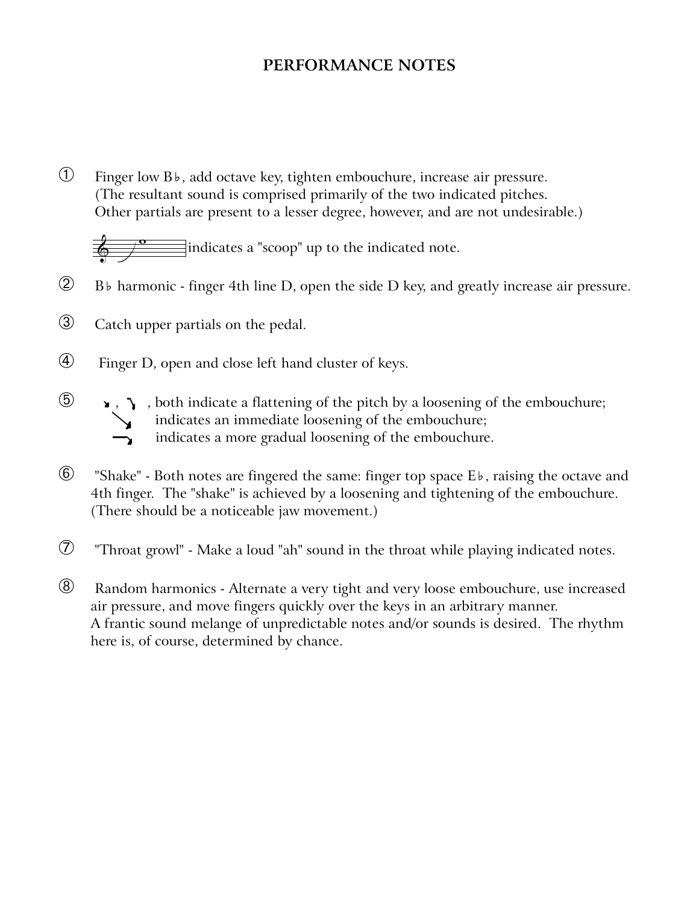### **PERFORMANCE NOTES**

 $\bigcirc$  Finger low Bb, add octave key, tighten embouchure, increase air pressure. (The resultant sound is comprised primarily of the two indicated pitches. Other partials are present to a lesser degree, however, and are not undesirable.)

 $\pmb{\phi}$ w indicates a "scoop" up to the indicated note.

- $\circled{2}$  Bb harmonic finger 4th line D, open the side D key, and greatly increase air pressure.
- ‰ Catch upper partials on the pedal.
- Â Finger D, open and close left hand cluster of keys.
- $\overline{\textcircled{5}}$  ,  $\gamma$ , both indicate a flattening of the pitch by a loosening of the embouchure; indicates an immediate loosening of the embouchure; indicates a more gradual loosening of the embouchure.
- $\circled{6}$  "Shake" Both notes are fingered the same: finger top space Eb, raising the octave and 4th finger. The "shake" is achieved by a loosening and tightening of the embouchure. (There should be a noticeable jaw movement.)
- $\overline{\mathcal{O}}$  "Throat growl" Make a loud "ah" sound in the throat while playing indicated notes.
- È Random harmonics Alternate <sup>a</sup> very tight and very loose embouchure, use increased air pressure, and move fingers quickly over the keys in an arbitrary manner. A frantic sound melange of unpredictable notes and/or sounds is desired. The rhythm here is, of course, determined by chance.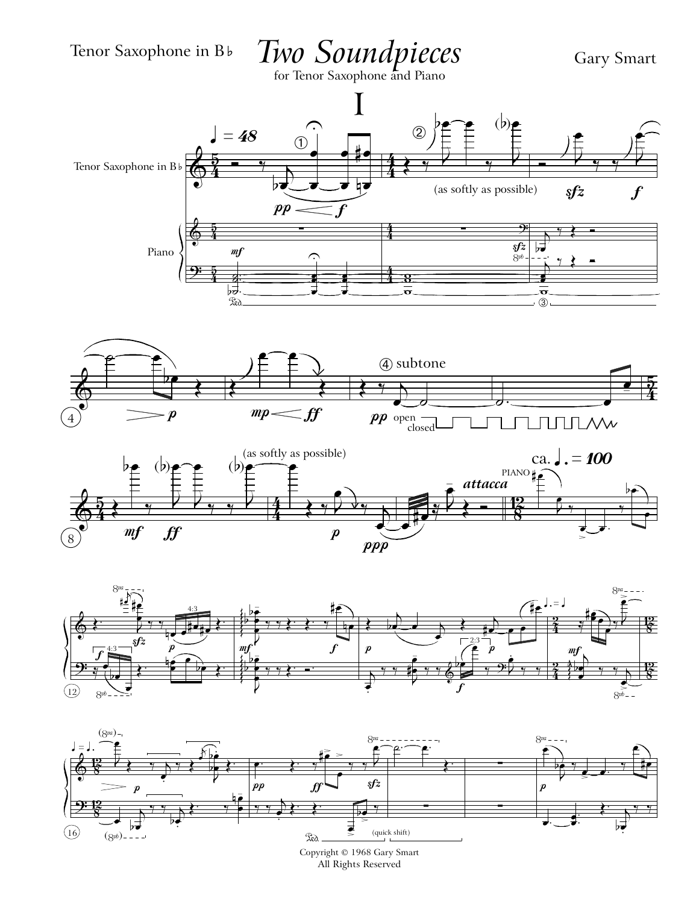Tenor Saxophone in Bb

*Two Soundpieces* for Tenor Saxophone and Piano

Gary Smart











Copyright © 1968 Gary Smart All Rights Reserved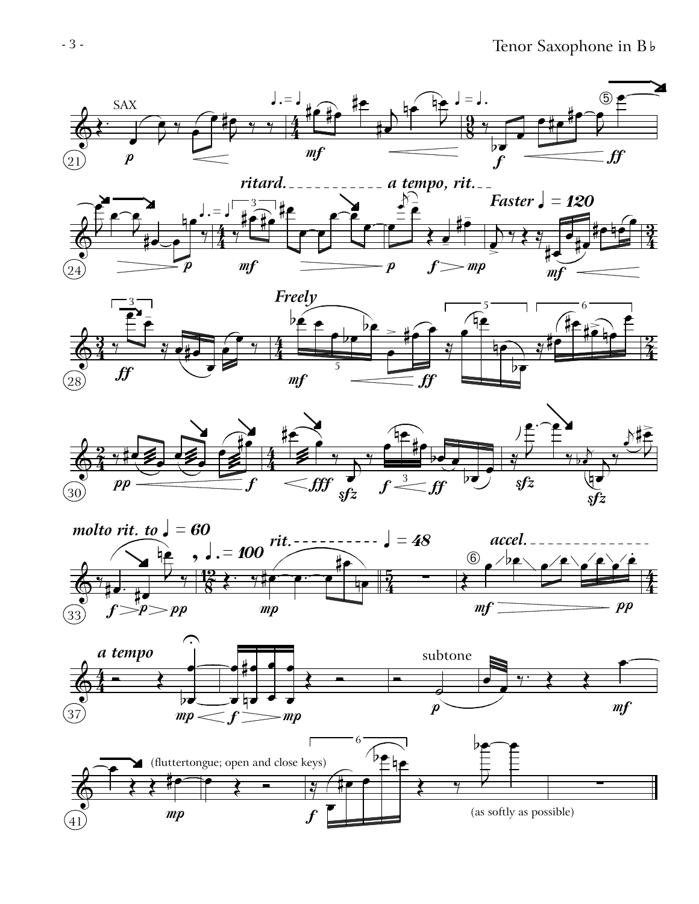- 3 - Tenor Saxophone in Bb













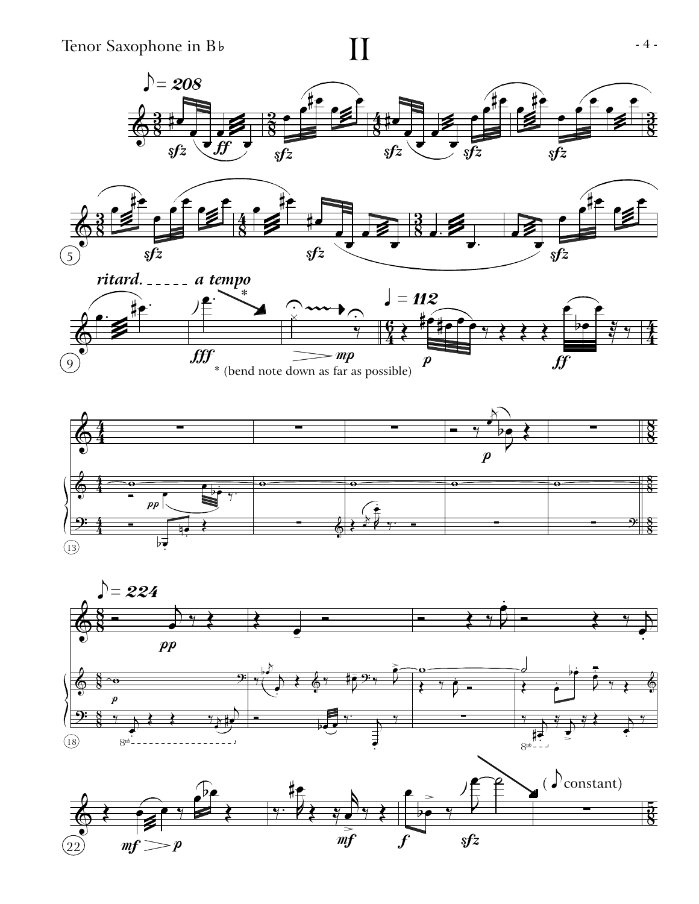



II







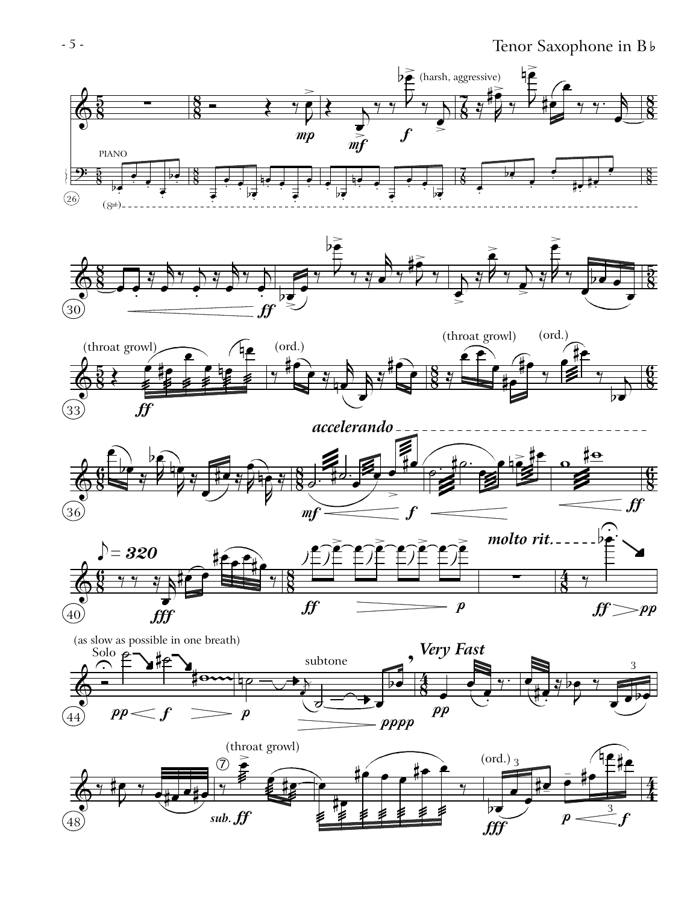